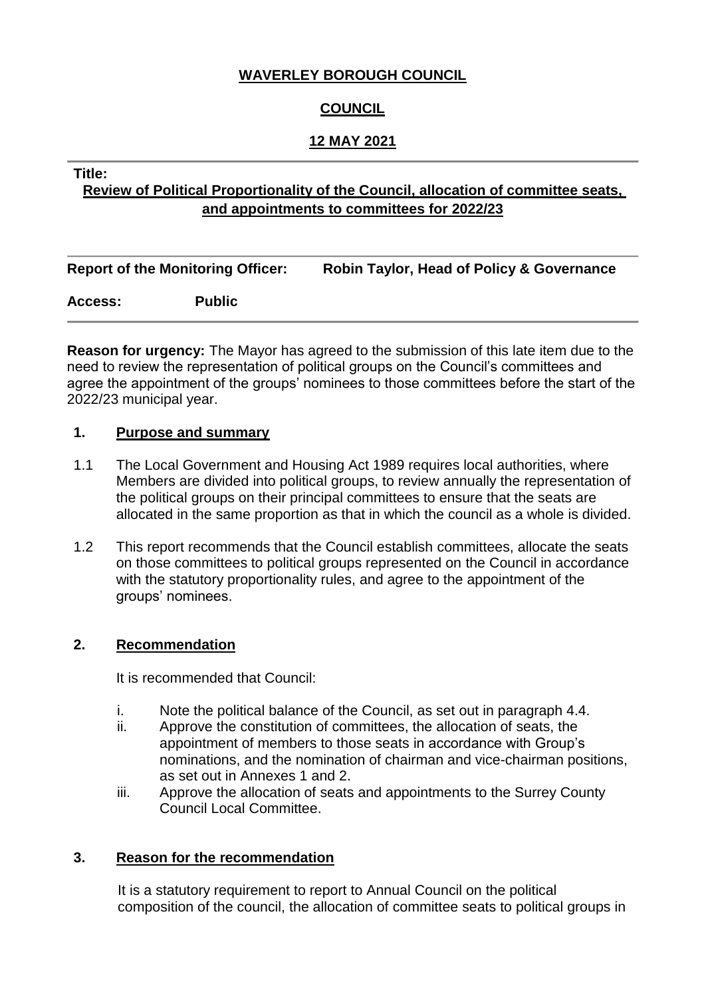## **WAVERLEY BOROUGH COUNCIL**

# **COUNCIL**

## **12 MAY 2021**

#### **Title:**

# **Review of Political Proportionality of the Council, allocation of committee seats, and appointments to committees for 2022/23**

|                | <b>Report of the Monitoring Officer:</b> | <b>Robin Taylor, Head of Policy &amp; Governance</b> |  |  |  |  |
|----------------|------------------------------------------|------------------------------------------------------|--|--|--|--|
| <b>Access:</b> | <b>Public</b>                            |                                                      |  |  |  |  |
|                |                                          |                                                      |  |  |  |  |

**Reason for urgency:** The Mayor has agreed to the submission of this late item due to the need to review the representation of political groups on the Council's committees and agree the appointment of the groups' nominees to those committees before the start of the 2022/23 municipal year.

#### **1. Purpose and summary**

- 1.1 The Local Government and Housing Act 1989 requires local authorities, where Members are divided into political groups, to review annually the representation of the political groups on their principal committees to ensure that the seats are allocated in the same proportion as that in which the council as a whole is divided.
- 1.2 This report recommends that the Council establish committees, allocate the seats on those committees to political groups represented on the Council in accordance with the statutory proportionality rules, and agree to the appointment of the groups' nominees.

#### **2. Recommendation**

It is recommended that Council:

- i. Note the political balance of the Council, as set out in paragraph 4.4.
- ii. Approve the constitution of committees, the allocation of seats, the appointment of members to those seats in accordance with Group's nominations, and the nomination of chairman and vice-chairman positions, as set out in Annexes 1 and 2.
- iii. Approve the allocation of seats and appointments to the Surrey County Council Local Committee.

#### **3. Reason for the recommendation**

It is a statutory requirement to report to Annual Council on the political composition of the council, the allocation of committee seats to political groups in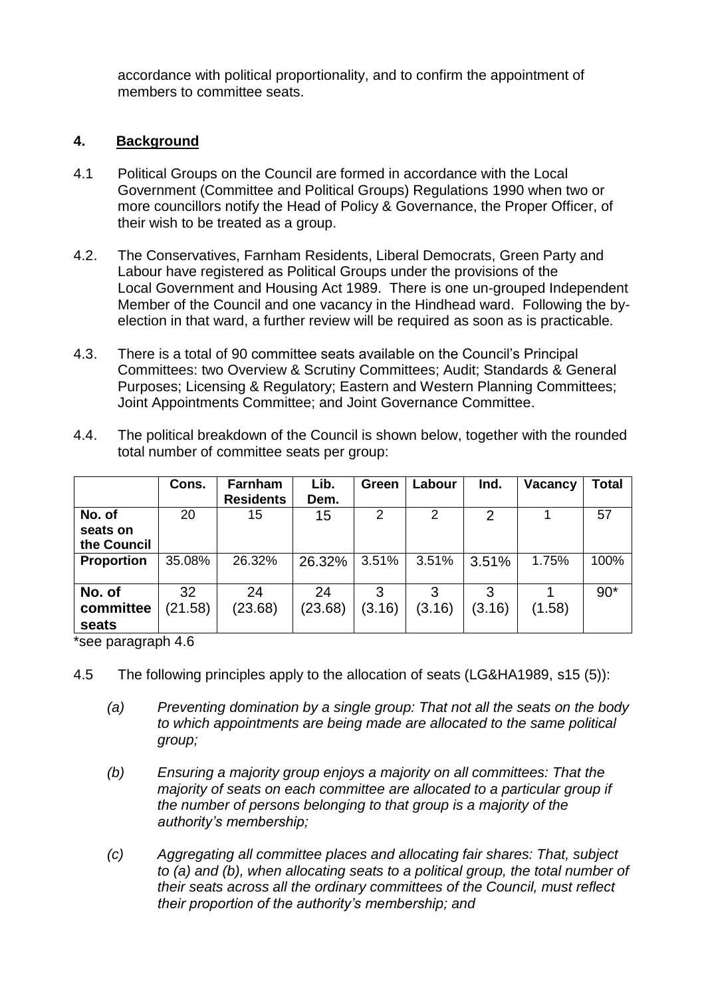accordance with political proportionality, and to confirm the appointment of members to committee seats.

## **4. Background**

- 4.1 Political Groups on the Council are formed in accordance with the Local Government (Committee and Political Groups) Regulations 1990 when two or more councillors notify the Head of Policy & Governance, the Proper Officer, of their wish to be treated as a group.
- 4.2. The Conservatives, Farnham Residents, Liberal Democrats, Green Party and Labour have registered as Political Groups under the provisions of the Local Government and Housing Act 1989. There is one un-grouped Independent Member of the Council and one vacancy in the Hindhead ward. Following the byelection in that ward, a further review will be required as soon as is practicable.
- 4.3. There is a total of 90 committee seats available on the Council's Principal Committees: two Overview & Scrutiny Committees; Audit; Standards & General Purposes; Licensing & Regulatory; Eastern and Western Planning Committees; Joint Appointments Committee; and Joint Governance Committee.
- 4.4. The political breakdown of the Council is shown below, together with the rounded total number of committee seats per group:

|                   | Cons.   | <b>Farnham</b>   | Lib.    | Green  | Labour | Ind.   | Vacancy | <b>Total</b> |
|-------------------|---------|------------------|---------|--------|--------|--------|---------|--------------|
|                   |         | <b>Residents</b> | Dem.    |        |        |        |         |              |
| No. of            | 20      | 15               | 15      | 2      | 2      | 2      |         | 57           |
| seats on          |         |                  |         |        |        |        |         |              |
| the Council       |         |                  |         |        |        |        |         |              |
| <b>Proportion</b> | 35.08%  | 26.32%           | 26.32%  | 3.51%  | 3.51%  | 3.51%  | 1.75%   | 100%         |
|                   |         |                  |         |        |        |        |         |              |
| No. of            | 32      | 24               | 24      | 3      | 3      | 3      |         | $90*$        |
| committee         | (21.58) | (23.68)          | (23.68) | (3.16) | (3.16) | (3.16) | (1.58)  |              |
| seats             |         |                  |         |        |        |        |         |              |

\*see paragraph 4.6

4.5 The following principles apply to the allocation of seats (LG&HA1989, s15 (5)):

- *(a) Preventing domination by a single group: That not all the seats on the body to which appointments are being made are allocated to the same political group;*
- *(b) Ensuring a majority group enjoys a majority on all committees: That the majority of seats on each committee are allocated to a particular group if the number of persons belonging to that group is a majority of the authority's membership;*
- *(c) Aggregating all committee places and allocating fair shares: That, subject to (a) and (b), when allocating seats to a political group, the total number of their seats across all the ordinary committees of the Council, must reflect their proportion of the authority's membership; and*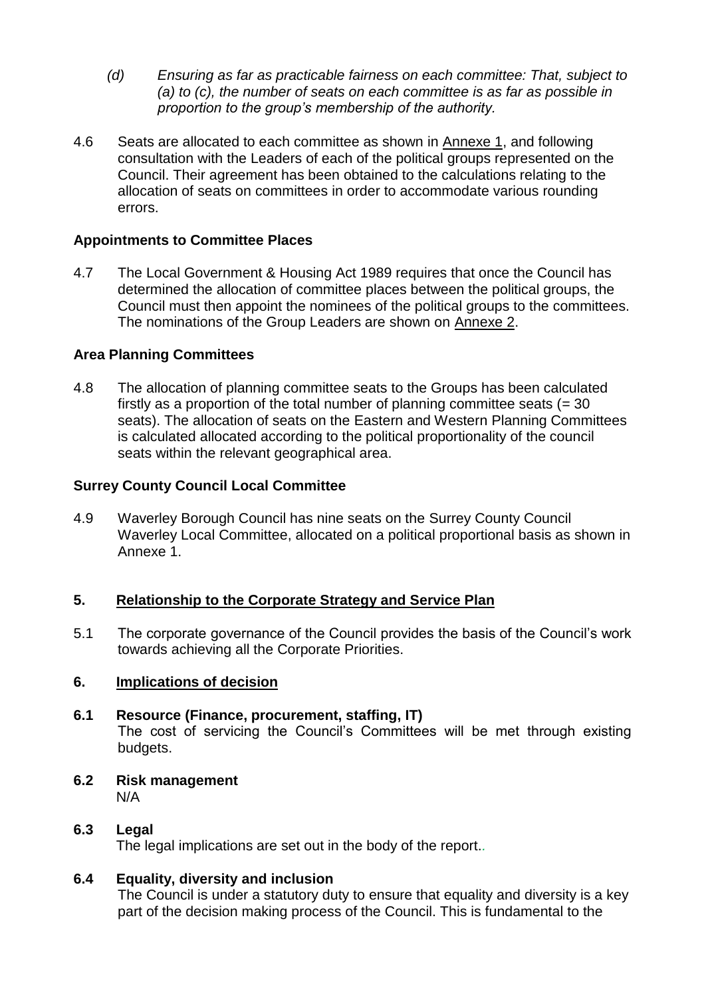- *(d) Ensuring as far as practicable fairness on each committee: That, subject to (a) to (c), the number of seats on each committee is as far as possible in proportion to the group's membership of the authority.*
- 4.6 Seats are allocated to each committee as shown in Annexe 1, and following consultation with the Leaders of each of the political groups represented on the Council. Their agreement has been obtained to the calculations relating to the allocation of seats on committees in order to accommodate various rounding errors.

## **Appointments to Committee Places**

4.7 The Local Government & Housing Act 1989 requires that once the Council has determined the allocation of committee places between the political groups, the Council must then appoint the nominees of the political groups to the committees. The nominations of the Group Leaders are shown on Annexe 2.

#### **Area Planning Committees**

4.8 The allocation of planning committee seats to the Groups has been calculated firstly as a proportion of the total number of planning committee seats  $(= 30)$ seats). The allocation of seats on the Eastern and Western Planning Committees is calculated allocated according to the political proportionality of the council seats within the relevant geographical area.

## **Surrey County Council Local Committee**

4.9 Waverley Borough Council has nine seats on the Surrey County Council Waverley Local Committee, allocated on a political proportional basis as shown in Annexe 1.

#### **5. Relationship to the Corporate Strategy and Service Plan**

5.1 The corporate governance of the Council provides the basis of the Council's work towards achieving all the Corporate Priorities.

#### **6. Implications of decision**

- **6.1 Resource (Finance, procurement, staffing, IT)** The cost of servicing the Council's Committees will be met through existing budgets.
- **6.2 Risk management** N/A
- **6.3 Legal**

The legal implications are set out in the body of the report.*.*

#### **6.4 Equality, diversity and inclusion**

The Council is under a statutory duty to ensure that equality and diversity is a key part of the decision making process of the Council. This is fundamental to the